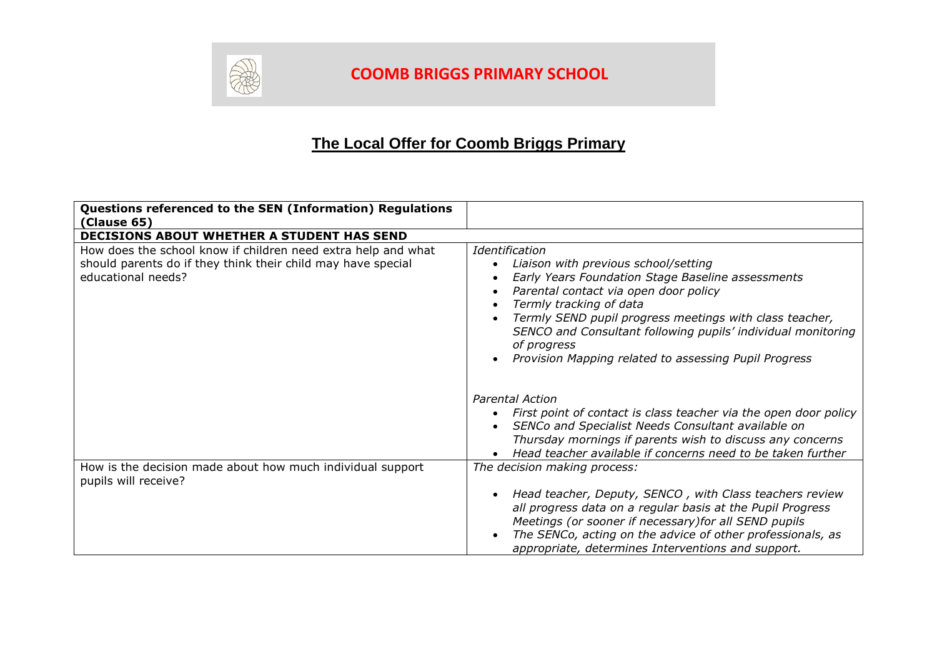

## **COOMB BRIGGS PRIMARY SCHOOL**

## **The Local Offer for Coomb Briggs Primary**

| Questions referenced to the SEN (Information) Regulations<br>(Clause 65)                                                                            |                                                                                                                                                                                                                                                                                                                                                                                    |
|-----------------------------------------------------------------------------------------------------------------------------------------------------|------------------------------------------------------------------------------------------------------------------------------------------------------------------------------------------------------------------------------------------------------------------------------------------------------------------------------------------------------------------------------------|
| DECISIONS ABOUT WHETHER A STUDENT HAS SEND                                                                                                          |                                                                                                                                                                                                                                                                                                                                                                                    |
| How does the school know if children need extra help and what<br>should parents do if they think their child may have special<br>educational needs? | Identification<br>Liaison with previous school/setting<br>Early Years Foundation Stage Baseline assessments<br>Parental contact via open door policy<br>Termly tracking of data<br>Termly SEND pupil progress meetings with class teacher,<br>SENCO and Consultant following pupils' individual monitoring<br>of progress<br>Provision Mapping related to assessing Pupil Progress |
|                                                                                                                                                     | <b>Parental Action</b><br>First point of contact is class teacher via the open door policy<br>SENCo and Specialist Needs Consultant available on<br>Thursday mornings if parents wish to discuss any concerns<br>Head teacher available if concerns need to be taken further                                                                                                       |
| How is the decision made about how much individual support<br>pupils will receive?                                                                  | The decision making process:<br>Head teacher, Deputy, SENCO, with Class teachers review<br>all progress data on a regular basis at the Pupil Progress<br>Meetings (or sooner if necessary) for all SEND pupils<br>The SENCo, acting on the advice of other professionals, as<br>appropriate, determines Interventions and support.                                                 |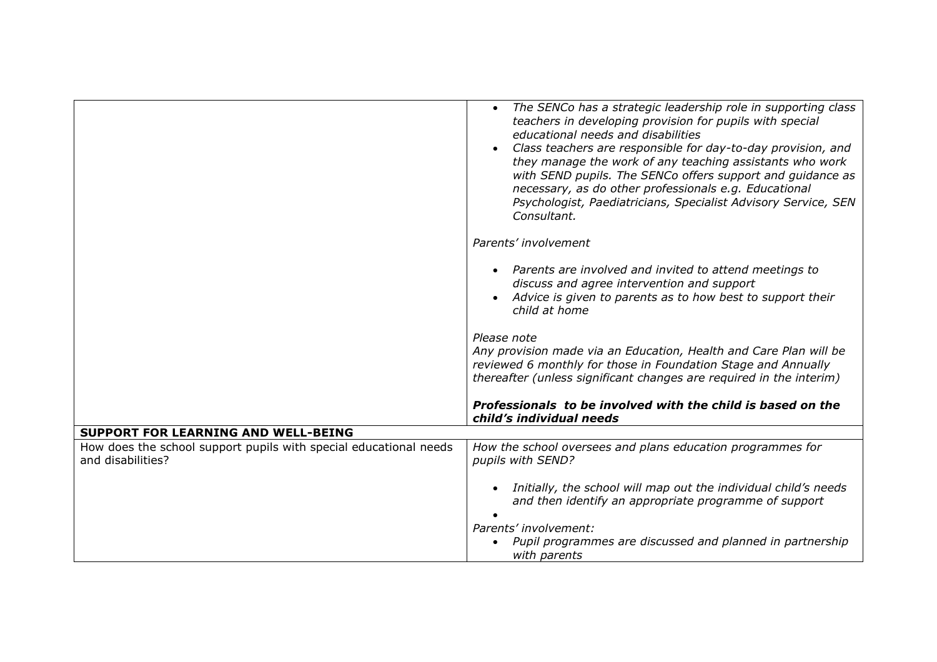|                                                                                        | The SENCo has a strategic leadership role in supporting class<br>$\bullet$<br>teachers in developing provision for pupils with special<br>educational needs and disabilities<br>Class teachers are responsible for day-to-day provision, and<br>they manage the work of any teaching assistants who work<br>with SEND pupils. The SENCo offers support and guidance as<br>necessary, as do other professionals e.g. Educational<br>Psychologist, Paediatricians, Specialist Advisory Service, SEN<br>Consultant. |
|----------------------------------------------------------------------------------------|------------------------------------------------------------------------------------------------------------------------------------------------------------------------------------------------------------------------------------------------------------------------------------------------------------------------------------------------------------------------------------------------------------------------------------------------------------------------------------------------------------------|
|                                                                                        | Parents' involvement                                                                                                                                                                                                                                                                                                                                                                                                                                                                                             |
|                                                                                        | Parents are involved and invited to attend meetings to<br>discuss and agree intervention and support<br>Advice is given to parents as to how best to support their<br>child at home                                                                                                                                                                                                                                                                                                                              |
|                                                                                        | Please note<br>Any provision made via an Education, Health and Care Plan will be<br>reviewed 6 monthly for those in Foundation Stage and Annually<br>thereafter (unless significant changes are required in the interim)                                                                                                                                                                                                                                                                                         |
|                                                                                        | Professionals to be involved with the child is based on the<br>child's individual needs                                                                                                                                                                                                                                                                                                                                                                                                                          |
| <b>SUPPORT FOR LEARNING AND WELL-BEING</b>                                             |                                                                                                                                                                                                                                                                                                                                                                                                                                                                                                                  |
| How does the school support pupils with special educational needs<br>and disabilities? | How the school oversees and plans education programmes for<br>pupils with SEND?                                                                                                                                                                                                                                                                                                                                                                                                                                  |
|                                                                                        | Initially, the school will map out the individual child's needs<br>and then identify an appropriate programme of support<br>Parents' involvement:<br>Pupil programmes are discussed and planned in partnership                                                                                                                                                                                                                                                                                                   |
|                                                                                        | with parents                                                                                                                                                                                                                                                                                                                                                                                                                                                                                                     |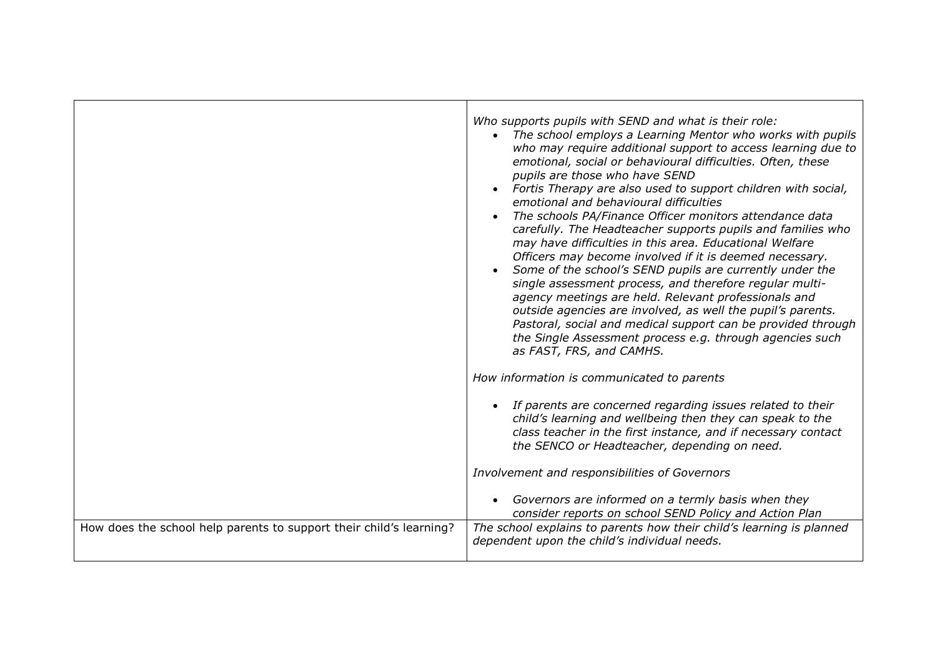|                                                                     | Who supports pupils with SEND and what is their role:<br>• The school employs a Learning Mentor who works with pupils<br>who may require additional support to access learning due to<br>emotional, social or behavioural difficulties. Often, these<br>pupils are those who have SEND<br>Fortis Therapy are also used to support children with social,<br>emotional and behavioural difficulties<br>The schools PA/Finance Officer monitors attendance data<br>carefully. The Headteacher supports pupils and families who<br>may have difficulties in this area. Educational Welfare<br>Officers may become involved if it is deemed necessary.<br>Some of the school's SEND pupils are currently under the<br>single assessment process, and therefore regular multi-<br>agency meetings are held. Relevant professionals and<br>outside agencies are involved, as well the pupil's parents.<br>Pastoral, social and medical support can be provided through<br>the Single Assessment process e.g. through agencies such<br>as FAST, FRS, and CAMHS. |
|---------------------------------------------------------------------|---------------------------------------------------------------------------------------------------------------------------------------------------------------------------------------------------------------------------------------------------------------------------------------------------------------------------------------------------------------------------------------------------------------------------------------------------------------------------------------------------------------------------------------------------------------------------------------------------------------------------------------------------------------------------------------------------------------------------------------------------------------------------------------------------------------------------------------------------------------------------------------------------------------------------------------------------------------------------------------------------------------------------------------------------------|
|                                                                     | How information is communicated to parents                                                                                                                                                                                                                                                                                                                                                                                                                                                                                                                                                                                                                                                                                                                                                                                                                                                                                                                                                                                                              |
|                                                                     | If parents are concerned regarding issues related to their<br>child's learning and wellbeing then they can speak to the<br>class teacher in the first instance, and if necessary contact<br>the SENCO or Headteacher, depending on need.                                                                                                                                                                                                                                                                                                                                                                                                                                                                                                                                                                                                                                                                                                                                                                                                                |
|                                                                     | Involvement and responsibilities of Governors                                                                                                                                                                                                                                                                                                                                                                                                                                                                                                                                                                                                                                                                                                                                                                                                                                                                                                                                                                                                           |
|                                                                     | Governors are informed on a termly basis when they<br>consider reports on school SEND Policy and Action Plan                                                                                                                                                                                                                                                                                                                                                                                                                                                                                                                                                                                                                                                                                                                                                                                                                                                                                                                                            |
| How does the school help parents to support their child's learning? | The school explains to parents how their child's learning is planned<br>dependent upon the child's individual needs.                                                                                                                                                                                                                                                                                                                                                                                                                                                                                                                                                                                                                                                                                                                                                                                                                                                                                                                                    |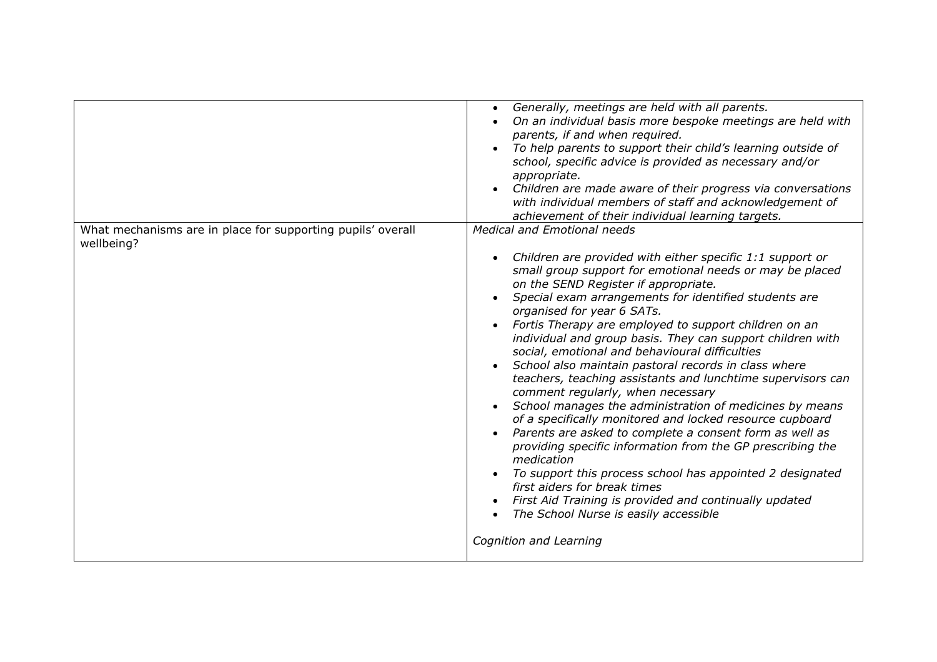|                                                                           | Generally, meetings are held with all parents.<br>On an individual basis more bespoke meetings are held with<br>parents, if and when required.<br>To help parents to support their child's learning outside of<br>school, specific advice is provided as necessary and/or<br>appropriate.<br>Children are made aware of their progress via conversations<br>with individual members of staff and acknowledgement of<br>achievement of their individual learning targets.                                                                                                                                                                                                                                                                                                                                                                                                                                                                                                                                                                                                                      |
|---------------------------------------------------------------------------|-----------------------------------------------------------------------------------------------------------------------------------------------------------------------------------------------------------------------------------------------------------------------------------------------------------------------------------------------------------------------------------------------------------------------------------------------------------------------------------------------------------------------------------------------------------------------------------------------------------------------------------------------------------------------------------------------------------------------------------------------------------------------------------------------------------------------------------------------------------------------------------------------------------------------------------------------------------------------------------------------------------------------------------------------------------------------------------------------|
| What mechanisms are in place for supporting pupils' overall<br>wellbeing? | <b>Medical and Emotional needs</b><br>Children are provided with either specific 1:1 support or<br>small group support for emotional needs or may be placed<br>on the SEND Register if appropriate.<br>Special exam arrangements for identified students are<br>organised for year 6 SATs.<br>Fortis Therapy are employed to support children on an<br>individual and group basis. They can support children with<br>social, emotional and behavioural difficulties<br>School also maintain pastoral records in class where<br>teachers, teaching assistants and lunchtime supervisors can<br>comment regularly, when necessary<br>School manages the administration of medicines by means<br>of a specifically monitored and locked resource cupboard<br>Parents are asked to complete a consent form as well as<br>providing specific information from the GP prescribing the<br>medication<br>To support this process school has appointed 2 designated<br>first aiders for break times<br>First Aid Training is provided and continually updated<br>The School Nurse is easily accessible |
|                                                                           | Cognition and Learning                                                                                                                                                                                                                                                                                                                                                                                                                                                                                                                                                                                                                                                                                                                                                                                                                                                                                                                                                                                                                                                                        |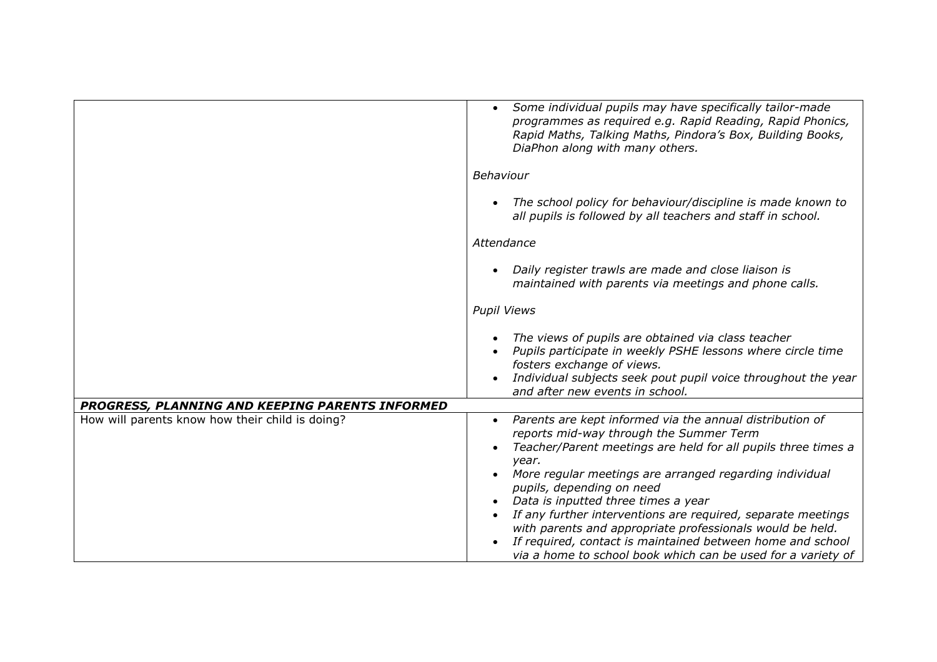|                                                                                                    | Some individual pupils may have specifically tailor-made<br>programmes as required e.g. Rapid Reading, Rapid Phonics,<br>Rapid Maths, Talking Maths, Pindora's Box, Building Books,<br>DiaPhon along with many others.                                                                                                                                                                                                                                                                                                                                                  |
|----------------------------------------------------------------------------------------------------|-------------------------------------------------------------------------------------------------------------------------------------------------------------------------------------------------------------------------------------------------------------------------------------------------------------------------------------------------------------------------------------------------------------------------------------------------------------------------------------------------------------------------------------------------------------------------|
|                                                                                                    | Behaviour                                                                                                                                                                                                                                                                                                                                                                                                                                                                                                                                                               |
|                                                                                                    | The school policy for behaviour/discipline is made known to<br>all pupils is followed by all teachers and staff in school.                                                                                                                                                                                                                                                                                                                                                                                                                                              |
|                                                                                                    | Attendance                                                                                                                                                                                                                                                                                                                                                                                                                                                                                                                                                              |
|                                                                                                    | Daily register trawls are made and close liaison is<br>maintained with parents via meetings and phone calls.                                                                                                                                                                                                                                                                                                                                                                                                                                                            |
|                                                                                                    | <b>Pupil Views</b>                                                                                                                                                                                                                                                                                                                                                                                                                                                                                                                                                      |
|                                                                                                    | The views of pupils are obtained via class teacher<br>Pupils participate in weekly PSHE lessons where circle time<br>fosters exchange of views.<br>Individual subjects seek pout pupil voice throughout the year                                                                                                                                                                                                                                                                                                                                                        |
|                                                                                                    | and after new events in school.                                                                                                                                                                                                                                                                                                                                                                                                                                                                                                                                         |
| PROGRESS, PLANNING AND KEEPING PARENTS INFORMED<br>How will parents know how their child is doing? | Parents are kept informed via the annual distribution of<br>reports mid-way through the Summer Term<br>Teacher/Parent meetings are held for all pupils three times a<br>year.<br>More regular meetings are arranged regarding individual<br>pupils, depending on need<br>Data is inputted three times a year<br>If any further interventions are required, separate meetings<br>with parents and appropriate professionals would be held.<br>If required, contact is maintained between home and school<br>via a home to school book which can be used for a variety of |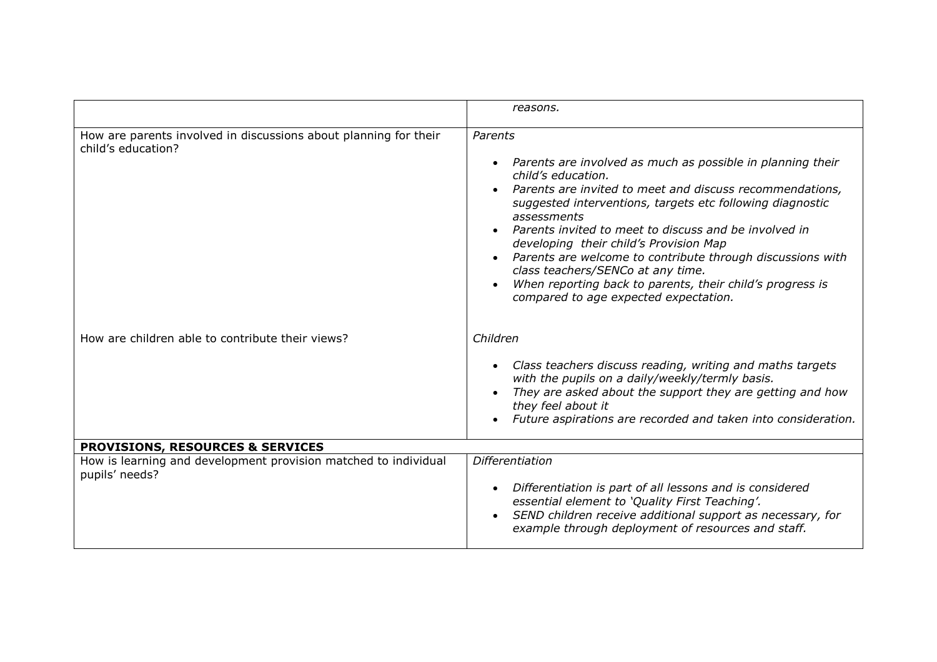|                                                                                        | reasons.                                                                                                                                                                                                                                                                                                                                                                                                                                                                                                                                          |
|----------------------------------------------------------------------------------------|---------------------------------------------------------------------------------------------------------------------------------------------------------------------------------------------------------------------------------------------------------------------------------------------------------------------------------------------------------------------------------------------------------------------------------------------------------------------------------------------------------------------------------------------------|
| How are parents involved in discussions about planning for their<br>child's education? | Parents<br>• Parents are involved as much as possible in planning their<br>child's education.<br>Parents are invited to meet and discuss recommendations,<br>suggested interventions, targets etc following diagnostic<br>assessments<br>Parents invited to meet to discuss and be involved in<br>developing their child's Provision Map<br>Parents are welcome to contribute through discussions with<br>class teachers/SENCo at any time.<br>When reporting back to parents, their child's progress is<br>compared to age expected expectation. |
| How are children able to contribute their views?                                       | Children<br>Class teachers discuss reading, writing and maths targets<br>with the pupils on a daily/weekly/termly basis.<br>They are asked about the support they are getting and how<br>they feel about it<br>Future aspirations are recorded and taken into consideration.                                                                                                                                                                                                                                                                      |
| <b>PROVISIONS, RESOURCES &amp; SERVICES</b>                                            |                                                                                                                                                                                                                                                                                                                                                                                                                                                                                                                                                   |
| How is learning and development provision matched to individual<br>pupils' needs?      | Differentiation<br>Differentiation is part of all lessons and is considered<br>essential element to 'Quality First Teaching'.<br>SEND children receive additional support as necessary, for<br>example through deployment of resources and staff.                                                                                                                                                                                                                                                                                                 |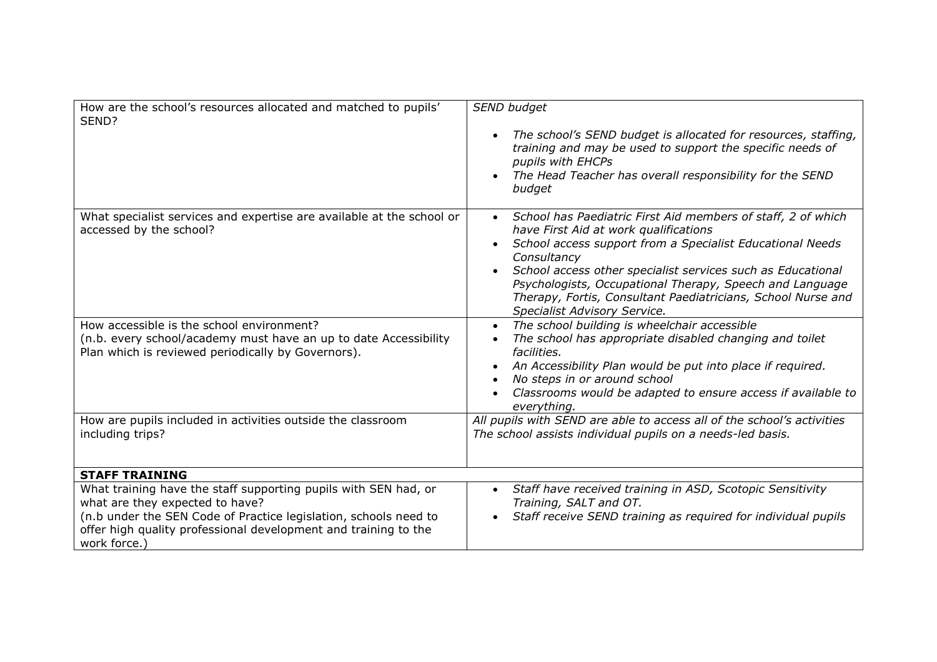| How are the school's resources allocated and matched to pupils'<br>SEND?                                                                                                                                                                                  | SEND budget<br>The school's SEND budget is allocated for resources, staffing,<br>training and may be used to support the specific needs of<br>pupils with EHCPs<br>The Head Teacher has overall responsibility for the SEND<br>budget                                                                                                                                                                                     |
|-----------------------------------------------------------------------------------------------------------------------------------------------------------------------------------------------------------------------------------------------------------|---------------------------------------------------------------------------------------------------------------------------------------------------------------------------------------------------------------------------------------------------------------------------------------------------------------------------------------------------------------------------------------------------------------------------|
| What specialist services and expertise are available at the school or<br>accessed by the school?                                                                                                                                                          | School has Paediatric First Aid members of staff, 2 of which<br>$\bullet$<br>have First Aid at work qualifications<br>School access support from a Specialist Educational Needs<br>Consultancy<br>School access other specialist services such as Educational<br>Psychologists, Occupational Therapy, Speech and Language<br>Therapy, Fortis, Consultant Paediatricians, School Nurse and<br>Specialist Advisory Service. |
| How accessible is the school environment?<br>(n.b. every school/academy must have an up to date Accessibility<br>Plan which is reviewed periodically by Governors).                                                                                       | The school building is wheelchair accessible<br>The school has appropriate disabled changing and toilet<br>facilities.<br>An Accessibility Plan would be put into place if required.<br>No steps in or around school<br>Classrooms would be adapted to ensure access if available to<br>everything.                                                                                                                       |
| How are pupils included in activities outside the classroom<br>including trips?                                                                                                                                                                           | All pupils with SEND are able to access all of the school's activities<br>The school assists individual pupils on a needs-led basis.                                                                                                                                                                                                                                                                                      |
| <b>STAFF TRAINING</b>                                                                                                                                                                                                                                     |                                                                                                                                                                                                                                                                                                                                                                                                                           |
| What training have the staff supporting pupils with SEN had, or<br>what are they expected to have?<br>(n.b under the SEN Code of Practice legislation, schools need to<br>offer high quality professional development and training to the<br>work force.) | Staff have received training in ASD, Scotopic Sensitivity<br>$\bullet$<br>Training, SALT and OT.<br>Staff receive SEND training as required for individual pupils                                                                                                                                                                                                                                                         |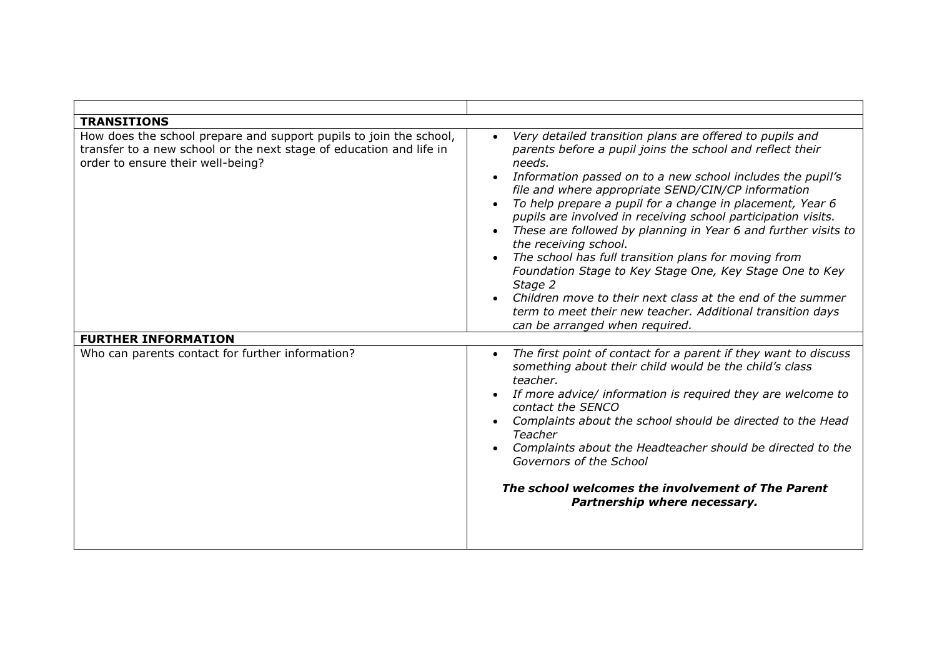| <b>TRANSITIONS</b>                                                                                                                                                             |                                                                                                                                                                                                                                                                                                                                                                                                                                                                                                                                                                                                                                                                                                                                                                          |
|--------------------------------------------------------------------------------------------------------------------------------------------------------------------------------|--------------------------------------------------------------------------------------------------------------------------------------------------------------------------------------------------------------------------------------------------------------------------------------------------------------------------------------------------------------------------------------------------------------------------------------------------------------------------------------------------------------------------------------------------------------------------------------------------------------------------------------------------------------------------------------------------------------------------------------------------------------------------|
| How does the school prepare and support pupils to join the school,<br>transfer to a new school or the next stage of education and life in<br>order to ensure their well-being? | Very detailed transition plans are offered to pupils and<br>parents before a pupil joins the school and reflect their<br>needs.<br>Information passed on to a new school includes the pupil's<br>file and where appropriate SEND/CIN/CP information<br>To help prepare a pupil for a change in placement, Year 6<br>pupils are involved in receiving school participation visits.<br>These are followed by planning in Year 6 and further visits to<br>the receiving school.<br>The school has full transition plans for moving from<br>Foundation Stage to Key Stage One, Key Stage One to Key<br>Stage 2<br>Children move to their next class at the end of the summer<br>term to meet their new teacher. Additional transition days<br>can be arranged when required. |
| <b>FURTHER INFORMATION</b>                                                                                                                                                     |                                                                                                                                                                                                                                                                                                                                                                                                                                                                                                                                                                                                                                                                                                                                                                          |
| Who can parents contact for further information?                                                                                                                               | The first point of contact for a parent if they want to discuss<br>something about their child would be the child's class<br>teacher.<br>If more advice/ information is required they are welcome to<br>contact the SENCO<br>Complaints about the school should be directed to the Head<br>Teacher<br>Complaints about the Headteacher should be directed to the<br>Governors of the School<br>The school welcomes the involvement of The Parent<br>Partnership where necessary.                                                                                                                                                                                                                                                                                         |